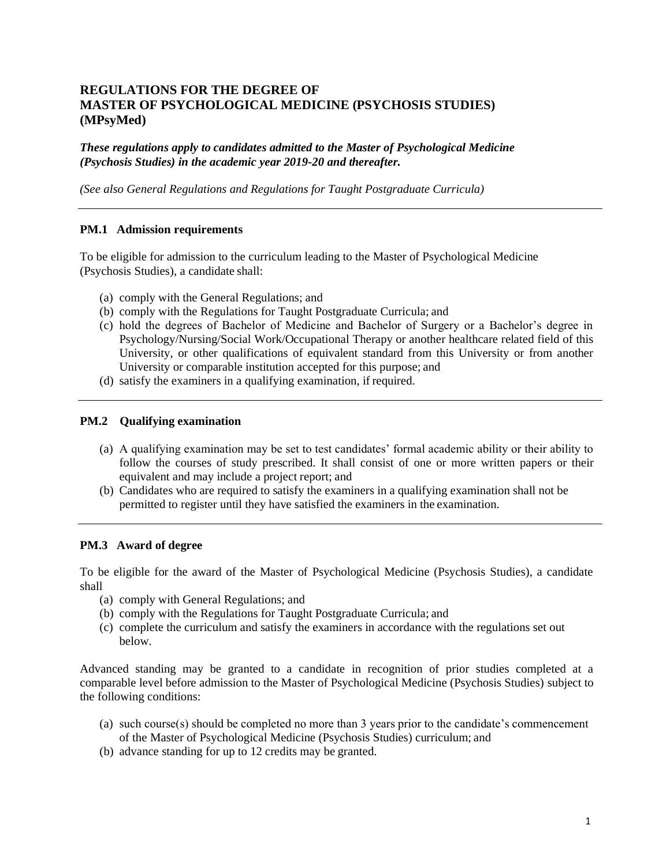# **REGULATIONS FOR THE DEGREE OF MASTER OF PSYCHOLOGICAL MEDICINE (PSYCHOSIS STUDIES) (MPsyMed)**

*These regulations apply to candidates admitted to the Master of Psychological Medicine (Psychosis Studies) in the academic year 2019-20 and thereafter.*

*(See also General Regulations and Regulations for Taught Postgraduate Curricula)*

### **PM.1 Admission requirements**

To be eligible for admission to the curriculum leading to the Master of Psychological Medicine (Psychosis Studies), a candidate shall:

- (a) comply with the General Regulations; and
- (b) comply with the Regulations for Taught Postgraduate Curricula; and
- (c) hold the degrees of Bachelor of Medicine and Bachelor of Surgery or a Bachelor's degree in Psychology/Nursing/Social Work/Occupational Therapy or another healthcare related field of this University, or other qualifications of equivalent standard from this University or from another University or comparable institution accepted for this purpose; and
- (d) satisfy the examiners in a qualifying examination, if required.

#### **PM.2 Qualifying examination**

- (a) A qualifying examination may be set to test candidates' formal academic ability or their ability to follow the courses of study prescribed. It shall consist of one or more written papers or their equivalent and may include a project report; and
- (b) Candidates who are required to satisfy the examiners in a qualifying examination shall not be permitted to register until they have satisfied the examiners in the examination.

#### **PM.3 Award of degree**

To be eligible for the award of the Master of Psychological Medicine (Psychosis Studies), a candidate shall

- (a) comply with General Regulations; and
- (b) comply with the Regulations for Taught Postgraduate Curricula; and
- (c) complete the curriculum and satisfy the examiners in accordance with the regulations set out below.

Advanced standing may be granted to a candidate in recognition of prior studies completed at a comparable level before admission to the Master of Psychological Medicine (Psychosis Studies) subject to the following conditions:

- (a) such course(s) should be completed no more than 3 years prior to the candidate's commencement of the Master of Psychological Medicine (Psychosis Studies) curriculum; and
- (b) advance standing for up to 12 credits may be granted.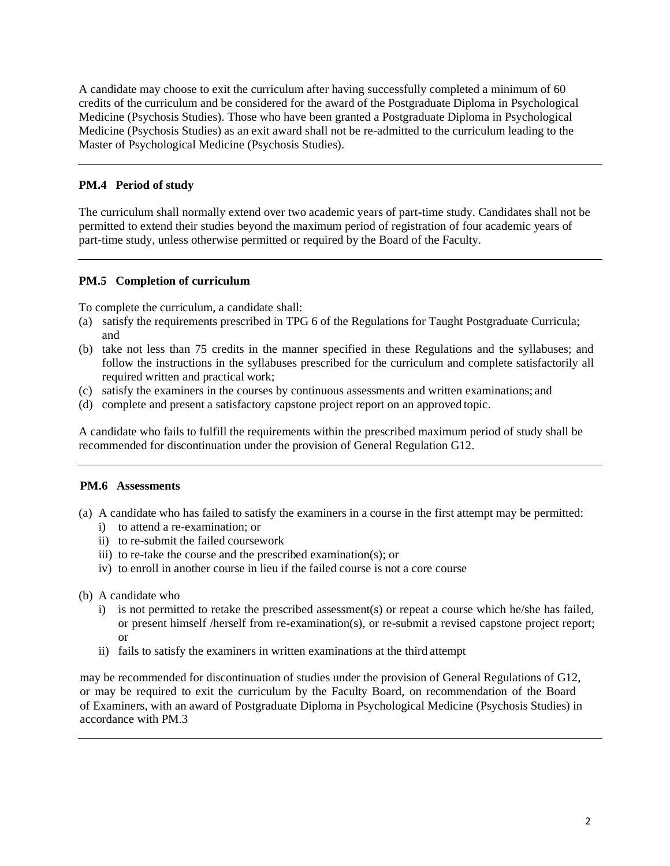A candidate may choose to exit the curriculum after having successfully completed a minimum of 60 credits of the curriculum and be considered for the award of the Postgraduate Diploma in Psychological Medicine (Psychosis Studies). Those who have been granted a Postgraduate Diploma in Psychological Medicine (Psychosis Studies) as an exit award shall not be re-admitted to the curriculum leading to the Master of Psychological Medicine (Psychosis Studies).

## **PM.4 Period of study**

The curriculum shall normally extend over two academic years of part-time study. Candidates shall not be permitted to extend their studies beyond the maximum period of registration of four academic years of part-time study, unless otherwise permitted or required by the Board of the Faculty.

## **PM.5 Completion of curriculum**

To complete the curriculum, a candidate shall:

- (a) satisfy the requirements prescribed in TPG 6 of the Regulations for Taught Postgraduate Curricula; and
- (b) take not less than 75 credits in the manner specified in these Regulations and the syllabuses; and follow the instructions in the syllabuses prescribed for the curriculum and complete satisfactorily all required written and practical work;
- (c) satisfy the examiners in the courses by continuous assessments and written examinations; and
- (d) complete and present a satisfactory capstone project report on an approved topic.

A candidate who fails to fulfill the requirements within the prescribed maximum period of study shall be recommended for discontinuation under the provision of General Regulation G12.

## **PM.6 Assessments**

- (a) A candidate who has failed to satisfy the examiners in a course in the first attempt may be permitted:
	- i) to attend a re-examination; or
	- ii) to re-submit the failed coursework
	- iii) to re-take the course and the prescribed examination(s); or
	- iv) to enroll in another course in lieu if the failed course is not a core course
- (b) A candidate who
	- i) is not permitted to retake the prescribed assessment(s) or repeat a course which he/she has failed, or present himself /herself from re-examination(s), or re-submit a revised capstone project report; or
	- ii) fails to satisfy the examiners in written examinations at the third attempt

may be recommended for discontinuation of studies under the provision of General Regulations of G12, or may be required to exit the curriculum by the Faculty Board, on recommendation of the Board of Examiners, with an award of Postgraduate Diploma in Psychological Medicine (Psychosis Studies) in accordance with PM.3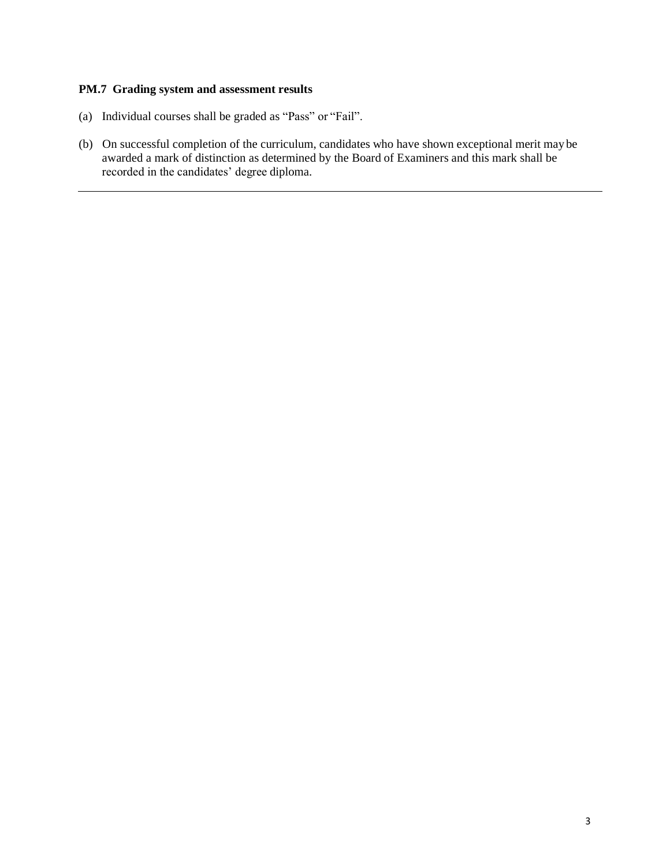### **PM.7 Grading system and assessment results**

- (a) Individual courses shall be graded as "Pass" or "Fail".
- (b) On successful completion of the curriculum, candidates who have shown exceptional merit may be awarded a mark of distinction as determined by the Board of Examiners and this mark shall be recorded in the candidates' degree diploma.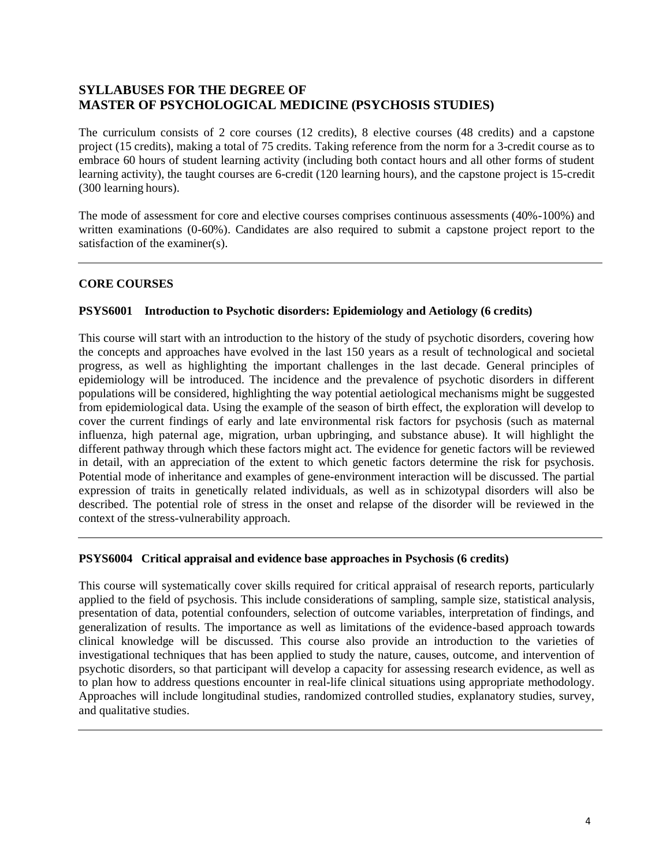# **SYLLABUSES FOR THE DEGREE OF MASTER OF PSYCHOLOGICAL MEDICINE (PSYCHOSIS STUDIES)**

The curriculum consists of 2 core courses (12 credits), 8 elective courses (48 credits) and a capstone project (15 credits), making a total of 75 credits. Taking reference from the norm for a 3-credit course as to embrace 60 hours of student learning activity (including both contact hours and all other forms of student learning activity), the taught courses are 6-credit (120 learning hours), and the capstone project is 15-credit (300 learning hours).

The mode of assessment for core and elective courses comprises continuous assessments (40%-100%) and written examinations (0-60%). Candidates are also required to submit a capstone project report to the satisfaction of the examiner(s).

## **CORE COURSES**

## **PSYS6001 Introduction to Psychotic disorders: Epidemiology and Aetiology (6 credits)**

This course will start with an introduction to the history of the study of psychotic disorders, covering how the concepts and approaches have evolved in the last 150 years as a result of technological and societal progress, as well as highlighting the important challenges in the last decade. General principles of epidemiology will be introduced. The incidence and the prevalence of psychotic disorders in different populations will be considered, highlighting the way potential aetiological mechanisms might be suggested from epidemiological data. Using the example of the season of birth effect, the exploration will develop to cover the current findings of early and late environmental risk factors for psychosis (such as maternal influenza, high paternal age, migration, urban upbringing, and substance abuse). It will highlight the different pathway through which these factors might act. The evidence for genetic factors will be reviewed in detail, with an appreciation of the extent to which genetic factors determine the risk for psychosis. Potential mode of inheritance and examples of gene-environment interaction will be discussed. The partial expression of traits in genetically related individuals, as well as in schizotypal disorders will also be described. The potential role of stress in the onset and relapse of the disorder will be reviewed in the context of the stress-vulnerability approach.

## **PSYS6004 Critical appraisal and evidence base approaches in Psychosis (6 credits)**

This course will systematically cover skills required for critical appraisal of research reports, particularly applied to the field of psychosis. This include considerations of sampling, sample size, statistical analysis, presentation of data, potential confounders, selection of outcome variables, interpretation of findings, and generalization of results. The importance as well as limitations of the evidence-based approach towards clinical knowledge will be discussed. This course also provide an introduction to the varieties of investigational techniques that has been applied to study the nature, causes, outcome, and intervention of psychotic disorders, so that participant will develop a capacity for assessing research evidence, as well as to plan how to address questions encounter in real-life clinical situations using appropriate methodology. Approaches will include longitudinal studies, randomized controlled studies, explanatory studies, survey, and qualitative studies.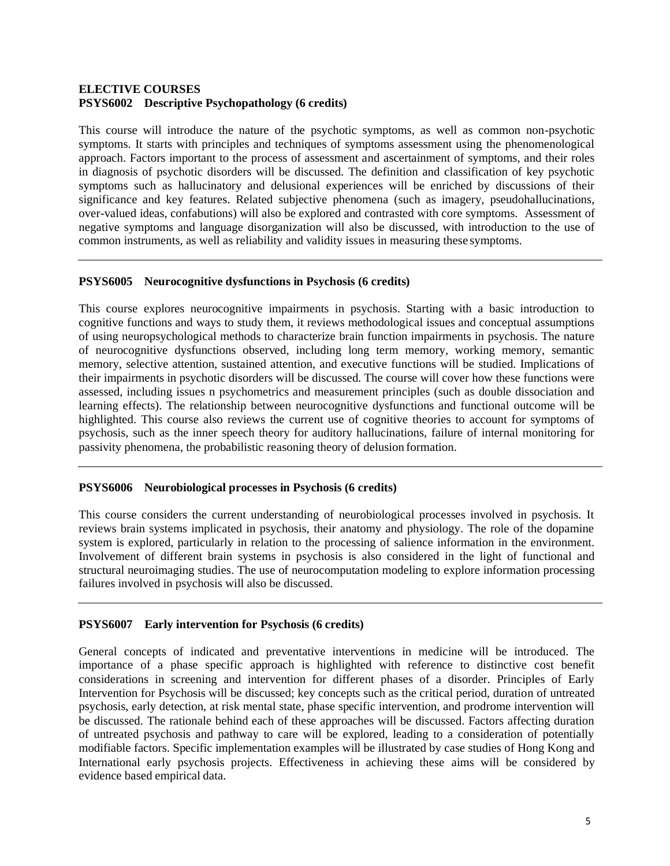## **ELECTIVE COURSES PSYS6002 Descriptive Psychopathology (6 credits)**

This course will introduce the nature of the psychotic symptoms, as well as common non-psychotic symptoms. It starts with principles and techniques of symptoms assessment using the phenomenological approach. Factors important to the process of assessment and ascertainment of symptoms, and their roles in diagnosis of psychotic disorders will be discussed. The definition and classification of key psychotic symptoms such as hallucinatory and delusional experiences will be enriched by discussions of their significance and key features. Related subjective phenomena (such as imagery, pseudohallucinations, over-valued ideas, confabutions) will also be explored and contrasted with core symptoms. Assessment of negative symptoms and language disorganization will also be discussed, with introduction to the use of common instruments, as well as reliability and validity issues in measuring these symptoms.

## **PSYS6005 Neurocognitive dysfunctions in Psychosis (6 credits)**

This course explores neurocognitive impairments in psychosis. Starting with a basic introduction to cognitive functions and ways to study them, it reviews methodological issues and conceptual assumptions of using neuropsychological methods to characterize brain function impairments in psychosis. The nature of neurocognitive dysfunctions observed, including long term memory, working memory, semantic memory, selective attention, sustained attention, and executive functions will be studied. Implications of their impairments in psychotic disorders will be discussed. The course will cover how these functions were assessed, including issues n psychometrics and measurement principles (such as double dissociation and learning effects). The relationship between neurocognitive dysfunctions and functional outcome will be highlighted. This course also reviews the current use of cognitive theories to account for symptoms of psychosis, such as the inner speech theory for auditory hallucinations, failure of internal monitoring for passivity phenomena, the probabilistic reasoning theory of delusion formation.

## **PSYS6006 Neurobiological processes in Psychosis (6 credits)**

This course considers the current understanding of neurobiological processes involved in psychosis. It reviews brain systems implicated in psychosis, their anatomy and physiology. The role of the dopamine system is explored, particularly in relation to the processing of salience information in the environment. Involvement of different brain systems in psychosis is also considered in the light of functional and structural neuroimaging studies. The use of neurocomputation modeling to explore information processing failures involved in psychosis will also be discussed.

## **PSYS6007 Early intervention for Psychosis (6 credits)**

General concepts of indicated and preventative interventions in medicine will be introduced. The importance of a phase specific approach is highlighted with reference to distinctive cost benefit considerations in screening and intervention for different phases of a disorder. Principles of Early Intervention for Psychosis will be discussed; key concepts such as the critical period, duration of untreated psychosis, early detection, at risk mental state, phase specific intervention, and prodrome intervention will be discussed. The rationale behind each of these approaches will be discussed. Factors affecting duration of untreated psychosis and pathway to care will be explored, leading to a consideration of potentially modifiable factors. Specific implementation examples will be illustrated by case studies of Hong Kong and International early psychosis projects. Effectiveness in achieving these aims will be considered by evidence based empirical data.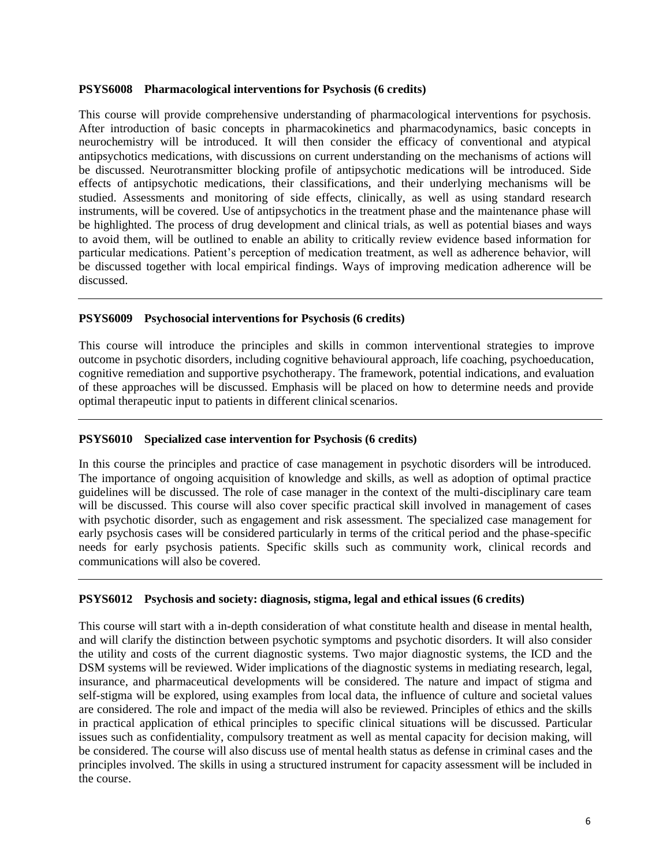### **PSYS6008 Pharmacological interventions for Psychosis (6 credits)**

This course will provide comprehensive understanding of pharmacological interventions for psychosis. After introduction of basic concepts in pharmacokinetics and pharmacodynamics, basic concepts in neurochemistry will be introduced. It will then consider the efficacy of conventional and atypical antipsychotics medications, with discussions on current understanding on the mechanisms of actions will be discussed. Neurotransmitter blocking profile of antipsychotic medications will be introduced. Side effects of antipsychotic medications, their classifications, and their underlying mechanisms will be studied. Assessments and monitoring of side effects, clinically, as well as using standard research instruments, will be covered. Use of antipsychotics in the treatment phase and the maintenance phase will be highlighted. The process of drug development and clinical trials, as well as potential biases and ways to avoid them, will be outlined to enable an ability to critically review evidence based information for particular medications. Patient's perception of medication treatment, as well as adherence behavior, will be discussed together with local empirical findings. Ways of improving medication adherence will be discussed.

### **PSYS6009 Psychosocial interventions for Psychosis (6 credits)**

This course will introduce the principles and skills in common interventional strategies to improve outcome in psychotic disorders, including cognitive behavioural approach, life coaching, psychoeducation, cognitive remediation and supportive psychotherapy. The framework, potential indications, and evaluation of these approaches will be discussed. Emphasis will be placed on how to determine needs and provide optimal therapeutic input to patients in different clinical scenarios.

### **PSYS6010 Specialized case intervention for Psychosis (6 credits)**

In this course the principles and practice of case management in psychotic disorders will be introduced. The importance of ongoing acquisition of knowledge and skills, as well as adoption of optimal practice guidelines will be discussed. The role of case manager in the context of the multi-disciplinary care team will be discussed. This course will also cover specific practical skill involved in management of cases with psychotic disorder, such as engagement and risk assessment. The specialized case management for early psychosis cases will be considered particularly in terms of the critical period and the phase-specific needs for early psychosis patients. Specific skills such as community work, clinical records and communications will also be covered.

### **PSYS6012 Psychosis and society: diagnosis, stigma, legal and ethical issues (6 credits)**

This course will start with a in-depth consideration of what constitute health and disease in mental health, and will clarify the distinction between psychotic symptoms and psychotic disorders. It will also consider the utility and costs of the current diagnostic systems. Two major diagnostic systems, the ICD and the DSM systems will be reviewed. Wider implications of the diagnostic systems in mediating research, legal, insurance, and pharmaceutical developments will be considered. The nature and impact of stigma and self-stigma will be explored, using examples from local data, the influence of culture and societal values are considered. The role and impact of the media will also be reviewed. Principles of ethics and the skills in practical application of ethical principles to specific clinical situations will be discussed. Particular issues such as confidentiality, compulsory treatment as well as mental capacity for decision making, will be considered. The course will also discuss use of mental health status as defense in criminal cases and the principles involved. The skills in using a structured instrument for capacity assessment will be included in the course.